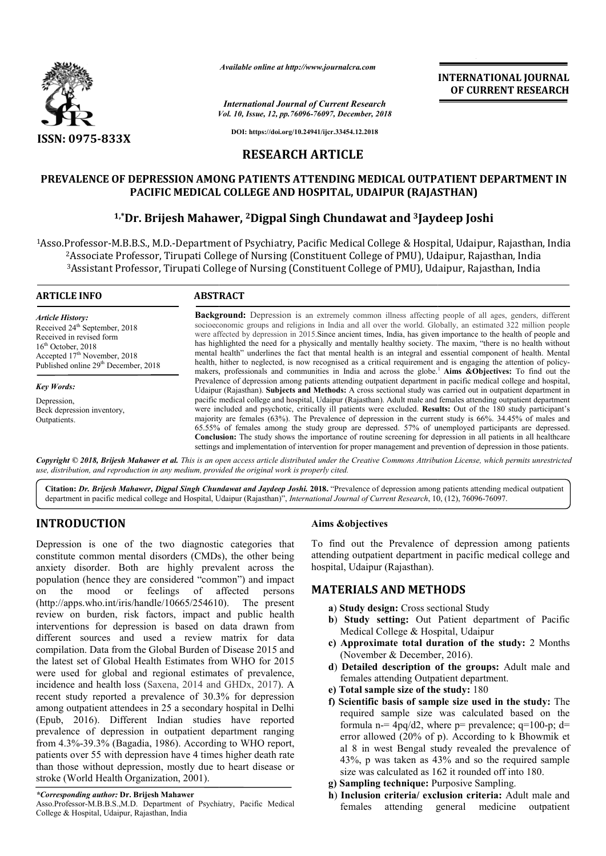

*Available online at http://www.journalcra.com*

*Vol. 10, Issue, 12, pp.76096-76097, December, 2018 International Journal of Current Research*

**INTERNATIONAL JOURNAL OF CURRENT RESEARCH**

**DOI: https://doi.org/10.24941/ijcr.33454.12.2018**

#### **RESEARCH ARTICLE**

# **PREVALENCE OF DEPRESSION AMONG PATIENTS ATTENDING MEDICAL OUTPATIENT DEPARTMENT IN PACIFIC MEDICAL COLLEGE AND HOSPITAL, UDAIPUR (RAJASTHAN)**  OF DEPRESSION AMONG PATIENTS ATTENDING MEDICAL OUTPATIENT DE<br>PACIFIC MEDICAL COLLEGE AND HOSPITAL, UDAIPUR (RAJASTHAN)<br><sup>1,\*</sup>Dr. Brijesh Mahawer, <sup>2</sup>Digpal Singh Chundawat and <sup>3</sup>Jaydeep Joshi

1Asso.Professor-M.B.B.S., M.D.-Department of Psychiatry, Pacific Medical College & Hospital, Udaipur, Rajasthan, India 2Associate Professor, Tirupati College of Nursing (Constituent College of PMU), Udaipur, Rajasthan, India <sup>2</sup>Associate Professor, Tirupati College of Nursing (Constituent College of PMU), Udaipur, Rajasthan, India<br><sup>3</sup>Assistant Professor, Tirupati College of Nursing (Constituent College of PMU), Udaipur, Rajasthan, India D.-Department of Psychiatry, Pacific Medical College & Ho<br>Tirupati College of Nursing (Constituent College of PMU),<br>Tirupati College of Nursing (Constituent College of PMU),

| <b>ARTICLE INFO</b>                                                                                                                                                                                            | <b>ABSTRACT</b>                                                                                                                                                                                                                                                                                                                                                                                                                                                                                                                                                                                                                                                                                                                                                                                                                     |
|----------------------------------------------------------------------------------------------------------------------------------------------------------------------------------------------------------------|-------------------------------------------------------------------------------------------------------------------------------------------------------------------------------------------------------------------------------------------------------------------------------------------------------------------------------------------------------------------------------------------------------------------------------------------------------------------------------------------------------------------------------------------------------------------------------------------------------------------------------------------------------------------------------------------------------------------------------------------------------------------------------------------------------------------------------------|
| <b>Article History:</b><br>Received 24 <sup>th</sup> September, 2018<br>Received in revised form<br>$16th$ October, 2018<br>Accepted $17th$ November, 2018<br>Published online 29 <sup>th</sup> December, 2018 | <b>Background:</b> Depression is an extremely common illness affecting people of all ages, genders, different<br>socioeconomic groups and religions in India and all over the world. Globally, an estimated 322 million people<br>were affected by depression in 2015. Since ancient times, India, has given importance to the health of people and<br>has highlighted the need for a physically and mentally healthy society. The maxim, "there is no health without<br>mental health" underlines the fact that mental health is an integral and essential component of health. Mental<br>health, hither to neglected, is now recognised as a critical requirement and is engaging the attention of policy-<br>makers, professionals and communities in India and across the globe. <sup>1</sup> Aims &Objectives: To find out the |
| <b>Key Words:</b>                                                                                                                                                                                              | Prevalence of depression among patients attending outpatient department in pacific medical college and hospital,<br>Udaipur (Rajasthan). Subjects and Methods: A cross sectional study was carried out in outpatient department in                                                                                                                                                                                                                                                                                                                                                                                                                                                                                                                                                                                                  |
| Depression,                                                                                                                                                                                                    | pacific medical college and hospital, Udaipur (Rajasthan). Adult male and females attending outpatient department                                                                                                                                                                                                                                                                                                                                                                                                                                                                                                                                                                                                                                                                                                                   |
| Beck depression inventory,                                                                                                                                                                                     | were included and psychotic, critically ill patients were excluded. Results: Out of the 180 study participant's                                                                                                                                                                                                                                                                                                                                                                                                                                                                                                                                                                                                                                                                                                                     |
| Outpatients.                                                                                                                                                                                                   | majority are females $(63\%)$ . The Prevalence of depression in the current study is $66\%$ . 34.45% of males and                                                                                                                                                                                                                                                                                                                                                                                                                                                                                                                                                                                                                                                                                                                   |
|                                                                                                                                                                                                                | 65.55% of females among the study group are depressed. 57% of unemployed participants are depressed.                                                                                                                                                                                                                                                                                                                                                                                                                                                                                                                                                                                                                                                                                                                                |
|                                                                                                                                                                                                                | <b>Conclusion:</b> The study shows the importance of routine screening for depression in all patients in all healthcare                                                                                                                                                                                                                                                                                                                                                                                                                                                                                                                                                                                                                                                                                                             |
|                                                                                                                                                                                                                | settings and implementation of intervention for proper management and prevention of depression in those patients.                                                                                                                                                                                                                                                                                                                                                                                                                                                                                                                                                                                                                                                                                                                   |

Copyright © 2018, Brijesh Mahawer et al. This is an open access article distributed under the Creative Commons Attribution License, which permits unrestrictea *use, distribution, and reproduction in any medium, provided the original work is properly cited.*

Citation: Dr. Brijesh Mahawer, Digpal Singh Chundawat and Jaydeep Joshi. 2018. "Prevalence of depression among patients attending medical outpatient Cit**ation:** *Dr. Brijesh Mahawer, Digpal Singh Chundawat and Jaydeep Joshi.* **2018. "Prevalence of depression among patients attending n<br>department in pacific medical college and Hospital, Udaipur (Rajasthan)",** *Internationa* 

# **INTRODUCTION**

Depression is one of the two diagnostic categories that constitute common mental disorders (CMDs), the other being anxiety disorder. Both are highly prevalent across the population (hence they are considered "common") and impact on the mood or feelings of affected persons (http://apps.who.int/iris/handle/10665/254610 http://apps.who.int/iris/handle/10665/254610). The present review on burden, risk factors, impact and public health interventions for depression is based on data drawn from different sources and used a review matrix for data compilation. Data from the Global Burden of Disease 2015 and the latest set of Global Health Estimates from WHO for 2015 were used for global and regional estimates of prevalence, incidence and health loss (Saxena, 2014 and GHDx, 2017). A recent study reported a prevalence of 30.3% for depression among outpatient attendees in 25 a secondary hospital in Delhi (Epub, 2016). Different Indian studies have reported prevalence of depression in outpatient department ranging from 4.3%-39.3% (Bagadia, 1986). According to WHO report, patients over 55 with depression have 4 times higher death rate than those without depression, mostly due to heart disease or stroke (World Health Organization, 2001).

#### *\*Corresponding author:* **Dr. Brijesh Mahawer**

Asso.Professor-M.B.B.S.,M.D. Department of Psychiatry, Pacific Medical College & Hospital, Udaipur, Rajasthan, India

#### **Aims &objectives**

To find out the Prevalence of depression among patients To find out the Prevalence of depression among patients attending outpatient department in pacific medical college and hospital, Udaipur (Rajasthan).

#### **MATERIALS AND METHODS METHODS**

- **a**) **Study design:** Cross sectional Study
- **b**) Study setting: Out Patient department of Pacific Medical College & Hospital, Udaipur
- **c) Approximate total duration of the study:** 2 Months (November & December, 2016).
- d) Detailed description of the groups: Adult male and females attending Outpatient department. department.
- **e)** Total sample size of the study:  $180$
- **f)** Scientific basis of sample size used in the study: The required sample size was calculated based on the required sample size was calculated based on the formula n=  $4pq/d2$ , where p= prevalence; q=100-p; d= error allowed (20% of p). According to k Bhowmik et error allowed (20% of p). According to k Bhowmik et al 8 in west Bengal study revealed the prevalence of 43%, p was taken as 43% and so the required sample size was calculated as 162 it rounded off into 180. the was taken as 43% and so the req<br>was calculated as 162 it rounded off in<br>**pling technique:** Purposive Sampling.
- **g) Sampling technique:** Purposive Sampling.
- **h**) Inclusion criteria/ exclusion criteria: Adult male and females attending general medi medicine outpatient